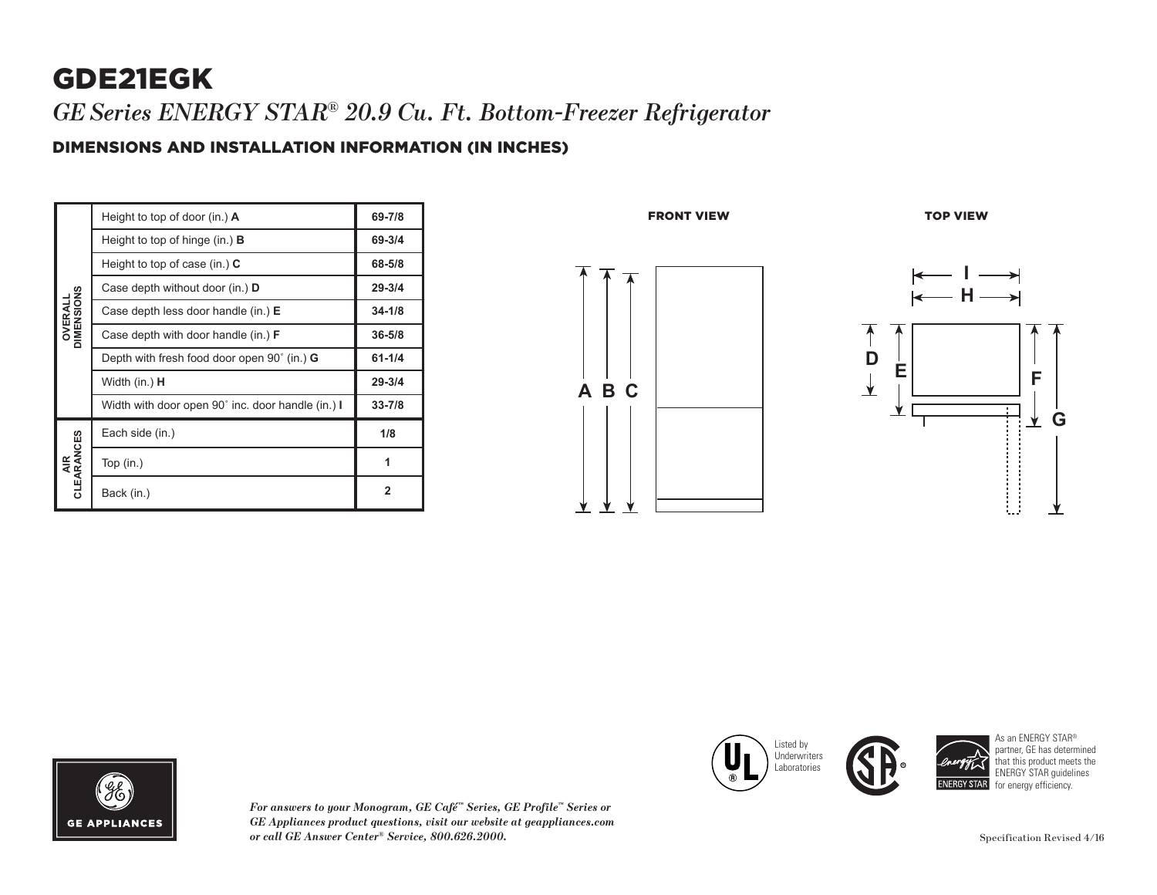# GDE21EGK

*GESeries ENERGY STAR® 20.9 Cu. Ft. Bottom-Freezer Refrigerator*

#### DIMENSIONS AND INSTALLATION INFORMATION (IN INCHES)

| <b>OVERALL</b><br>DIMENSIONS | Height to top of door (in.) $\mathbf{A}$                    | 69-7/8     |
|------------------------------|-------------------------------------------------------------|------------|
|                              | Height to top of hinge (in.) <b>B</b>                       | 69-3/4     |
|                              | Height to top of case (in.) $C$                             | 68-5/8     |
|                              | Case depth without door (in.) D                             | $29 - 3/4$ |
|                              | Case depth less door handle (in.) E                         | $34 - 1/8$ |
|                              | Case depth with door handle (in.) <b>F</b>                  | $36 - 5/8$ |
|                              | Depth with fresh food door open $90^{\circ}$ (in.) <b>G</b> | $61 - 1/4$ |
|                              | Width (in.) <b>H</b>                                        | $29 - 3/4$ |
|                              | Width with door open 90° inc. door handle (in.) I           | $33 - 7/8$ |
| AIR<br>CLEARANCES            | Each side (in.)                                             | 1/8        |
|                              | Top $(in.)$                                                 | 1          |
|                              | Back (in.)                                                  | 2          |







*For answers to your Monogram, GE Café™ Series, GE Profile™ Series or GE Appliances product questions, visit our website at geappliances.com or call GE Answer Center® Service, 800.626.2000.*





As an ENERGY STAR® partner, GE has determined that this product meets the ENERGY STAR guidelines for energy efficiency.